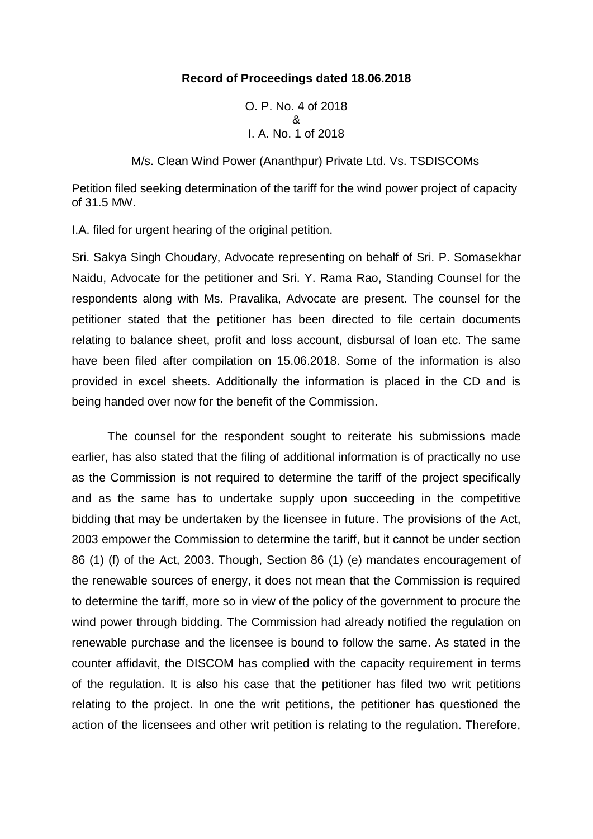## **Record of Proceedings dated 18.06.2018**

O. P. No. 4 of 2018 & I. A. No. 1 of 2018

M/s. Clean Wind Power (Ananthpur) Private Ltd. Vs. TSDISCOMs

Petition filed seeking determination of the tariff for the wind power project of capacity of 31.5 MW.

I.A. filed for urgent hearing of the original petition.

Sri. Sakya Singh Choudary, Advocate representing on behalf of Sri. P. Somasekhar Naidu, Advocate for the petitioner and Sri. Y. Rama Rao, Standing Counsel for the respondents along with Ms. Pravalika, Advocate are present. The counsel for the petitioner stated that the petitioner has been directed to file certain documents relating to balance sheet, profit and loss account, disbursal of loan etc. The same have been filed after compilation on 15.06.2018. Some of the information is also provided in excel sheets. Additionally the information is placed in the CD and is being handed over now for the benefit of the Commission.

The counsel for the respondent sought to reiterate his submissions made earlier, has also stated that the filing of additional information is of practically no use as the Commission is not required to determine the tariff of the project specifically and as the same has to undertake supply upon succeeding in the competitive bidding that may be undertaken by the licensee in future. The provisions of the Act, 2003 empower the Commission to determine the tariff, but it cannot be under section 86 (1) (f) of the Act, 2003. Though, Section 86 (1) (e) mandates encouragement of the renewable sources of energy, it does not mean that the Commission is required to determine the tariff, more so in view of the policy of the government to procure the wind power through bidding. The Commission had already notified the regulation on renewable purchase and the licensee is bound to follow the same. As stated in the counter affidavit, the DISCOM has complied with the capacity requirement in terms of the regulation. It is also his case that the petitioner has filed two writ petitions relating to the project. In one the writ petitions, the petitioner has questioned the action of the licensees and other writ petition is relating to the regulation. Therefore,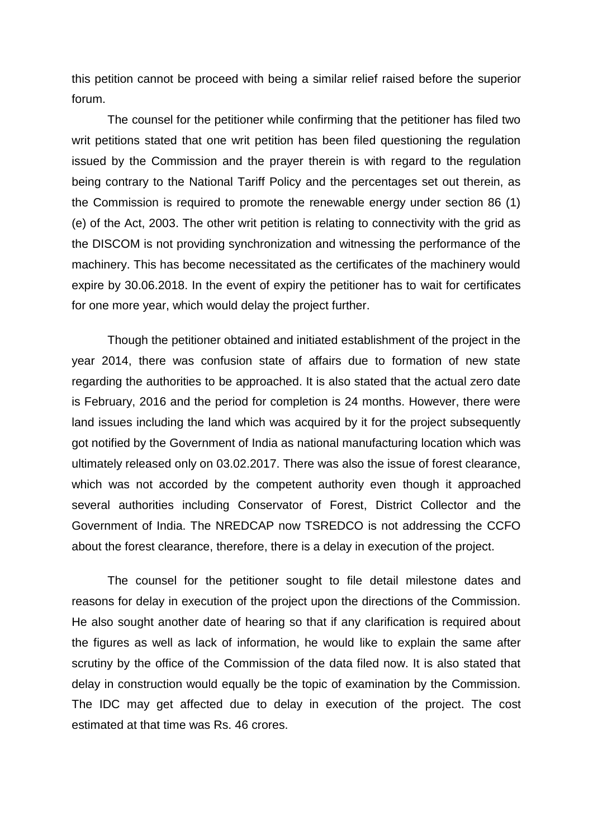this petition cannot be proceed with being a similar relief raised before the superior forum.

The counsel for the petitioner while confirming that the petitioner has filed two writ petitions stated that one writ petition has been filed questioning the regulation issued by the Commission and the prayer therein is with regard to the regulation being contrary to the National Tariff Policy and the percentages set out therein, as the Commission is required to promote the renewable energy under section 86 (1) (e) of the Act, 2003. The other writ petition is relating to connectivity with the grid as the DISCOM is not providing synchronization and witnessing the performance of the machinery. This has become necessitated as the certificates of the machinery would expire by 30.06.2018. In the event of expiry the petitioner has to wait for certificates for one more year, which would delay the project further.

Though the petitioner obtained and initiated establishment of the project in the year 2014, there was confusion state of affairs due to formation of new state regarding the authorities to be approached. It is also stated that the actual zero date is February, 2016 and the period for completion is 24 months. However, there were land issues including the land which was acquired by it for the project subsequently got notified by the Government of India as national manufacturing location which was ultimately released only on 03.02.2017. There was also the issue of forest clearance, which was not accorded by the competent authority even though it approached several authorities including Conservator of Forest, District Collector and the Government of India. The NREDCAP now TSREDCO is not addressing the CCFO about the forest clearance, therefore, there is a delay in execution of the project.

The counsel for the petitioner sought to file detail milestone dates and reasons for delay in execution of the project upon the directions of the Commission. He also sought another date of hearing so that if any clarification is required about the figures as well as lack of information, he would like to explain the same after scrutiny by the office of the Commission of the data filed now. It is also stated that delay in construction would equally be the topic of examination by the Commission. The IDC may get affected due to delay in execution of the project. The cost estimated at that time was Rs. 46 crores.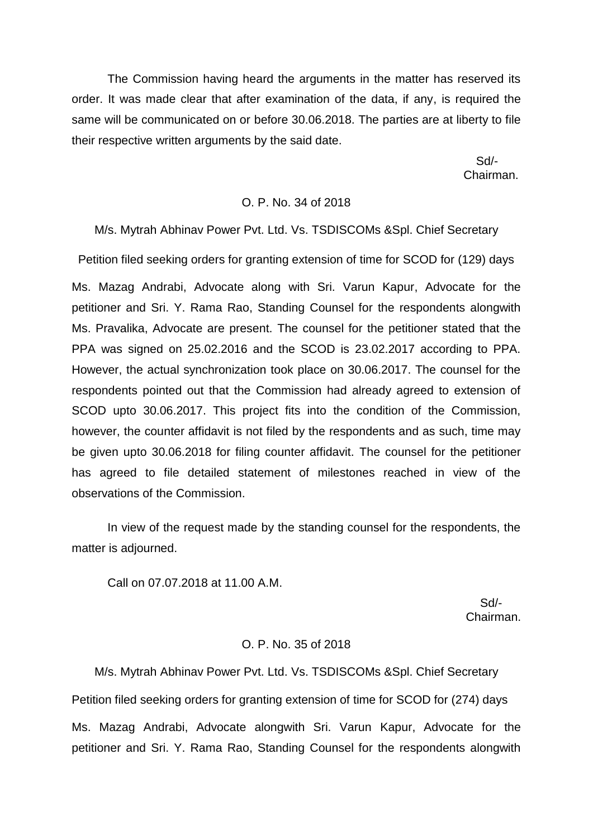The Commission having heard the arguments in the matter has reserved its order. It was made clear that after examination of the data, if any, is required the same will be communicated on or before 30.06.2018. The parties are at liberty to file their respective written arguments by the said date.

> Sd/- Chairman.

### O. P. No. 34 of 2018

M/s. Mytrah Abhinav Power Pvt. Ltd. Vs. TSDISCOMs &Spl. Chief Secretary

Petition filed seeking orders for granting extension of time for SCOD for (129) days

Ms. Mazag Andrabi, Advocate along with Sri. Varun Kapur, Advocate for the petitioner and Sri. Y. Rama Rao, Standing Counsel for the respondents alongwith Ms. Pravalika, Advocate are present. The counsel for the petitioner stated that the PPA was signed on 25.02.2016 and the SCOD is 23.02.2017 according to PPA. However, the actual synchronization took place on 30.06.2017. The counsel for the respondents pointed out that the Commission had already agreed to extension of SCOD upto 30.06.2017. This project fits into the condition of the Commission, however, the counter affidavit is not filed by the respondents and as such, time may be given upto 30.06.2018 for filing counter affidavit. The counsel for the petitioner has agreed to file detailed statement of milestones reached in view of the observations of the Commission.

In view of the request made by the standing counsel for the respondents, the matter is adjourned.

Call on 07.07.2018 at 11.00 A.M.

 Sd/- Chairman.

## O. P. No. 35 of 2018

M/s. Mytrah Abhinav Power Pvt. Ltd. Vs. TSDISCOMs &Spl. Chief Secretary Petition filed seeking orders for granting extension of time for SCOD for (274) days Ms. Mazag Andrabi, Advocate alongwith Sri. Varun Kapur, Advocate for the petitioner and Sri. Y. Rama Rao, Standing Counsel for the respondents alongwith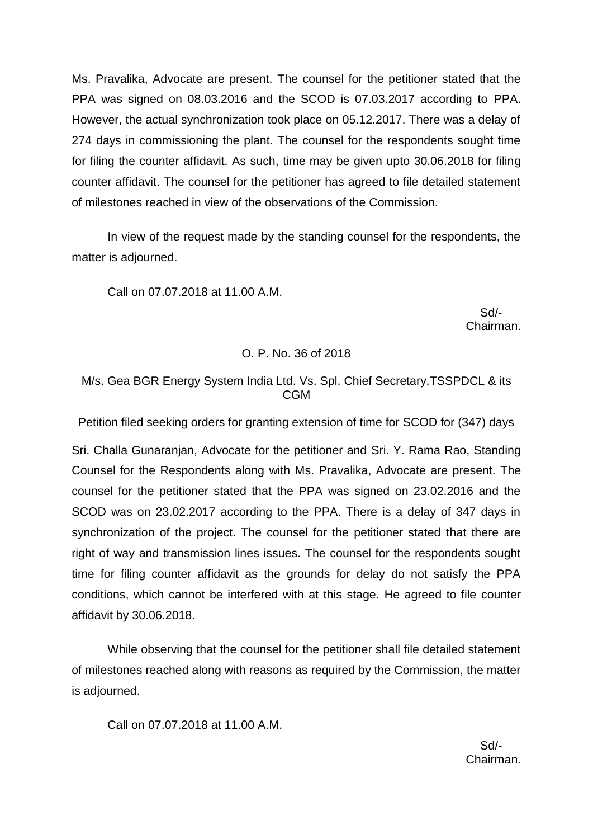Ms. Pravalika, Advocate are present. The counsel for the petitioner stated that the PPA was signed on 08.03.2016 and the SCOD is 07.03.2017 according to PPA. However, the actual synchronization took place on 05.12.2017. There was a delay of 274 days in commissioning the plant. The counsel for the respondents sought time for filing the counter affidavit. As such, time may be given upto 30.06.2018 for filing counter affidavit. The counsel for the petitioner has agreed to file detailed statement of milestones reached in view of the observations of the Commission.

In view of the request made by the standing counsel for the respondents, the matter is adjourned.

Call on 07.07.2018 at 11.00 A.M.

 Sd/- Chairman.

## O. P. No. 36 of 2018

# M/s. Gea BGR Energy System India Ltd. Vs. Spl. Chief Secretary,TSSPDCL & its CGM

Petition filed seeking orders for granting extension of time for SCOD for (347) days

Sri. Challa Gunaranjan, Advocate for the petitioner and Sri. Y. Rama Rao, Standing Counsel for the Respondents along with Ms. Pravalika, Advocate are present. The counsel for the petitioner stated that the PPA was signed on 23.02.2016 and the SCOD was on 23.02.2017 according to the PPA. There is a delay of 347 days in synchronization of the project. The counsel for the petitioner stated that there are right of way and transmission lines issues. The counsel for the respondents sought time for filing counter affidavit as the grounds for delay do not satisfy the PPA conditions, which cannot be interfered with at this stage. He agreed to file counter affidavit by 30.06.2018.

While observing that the counsel for the petitioner shall file detailed statement of milestones reached along with reasons as required by the Commission, the matter is adjourned.

Call on 07.07.2018 at 11.00 A.M.

 Sd/- Chairman.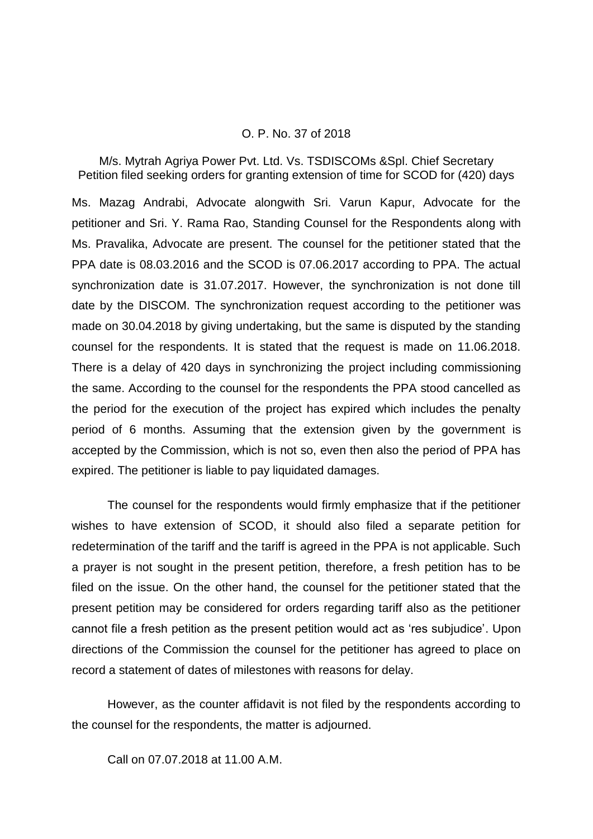### O. P. No. 37 of 2018

M/s. Mytrah Agriya Power Pvt. Ltd. Vs. TSDISCOMs &Spl. Chief Secretary Petition filed seeking orders for granting extension of time for SCOD for (420) days

Ms. Mazag Andrabi, Advocate alongwith Sri. Varun Kapur, Advocate for the petitioner and Sri. Y. Rama Rao, Standing Counsel for the Respondents along with Ms. Pravalika, Advocate are present. The counsel for the petitioner stated that the PPA date is 08.03.2016 and the SCOD is 07.06.2017 according to PPA. The actual synchronization date is 31.07.2017. However, the synchronization is not done till date by the DISCOM. The synchronization request according to the petitioner was made on 30.04.2018 by giving undertaking, but the same is disputed by the standing counsel for the respondents. It is stated that the request is made on 11.06.2018. There is a delay of 420 days in synchronizing the project including commissioning the same. According to the counsel for the respondents the PPA stood cancelled as the period for the execution of the project has expired which includes the penalty period of 6 months. Assuming that the extension given by the government is accepted by the Commission, which is not so, even then also the period of PPA has expired. The petitioner is liable to pay liquidated damages.

The counsel for the respondents would firmly emphasize that if the petitioner wishes to have extension of SCOD, it should also filed a separate petition for redetermination of the tariff and the tariff is agreed in the PPA is not applicable. Such a prayer is not sought in the present petition, therefore, a fresh petition has to be filed on the issue. On the other hand, the counsel for the petitioner stated that the present petition may be considered for orders regarding tariff also as the petitioner cannot file a fresh petition as the present petition would act as 'res subjudice'. Upon directions of the Commission the counsel for the petitioner has agreed to place on record a statement of dates of milestones with reasons for delay.

However, as the counter affidavit is not filed by the respondents according to the counsel for the respondents, the matter is adjourned.

Call on 07.07.2018 at 11.00 A.M.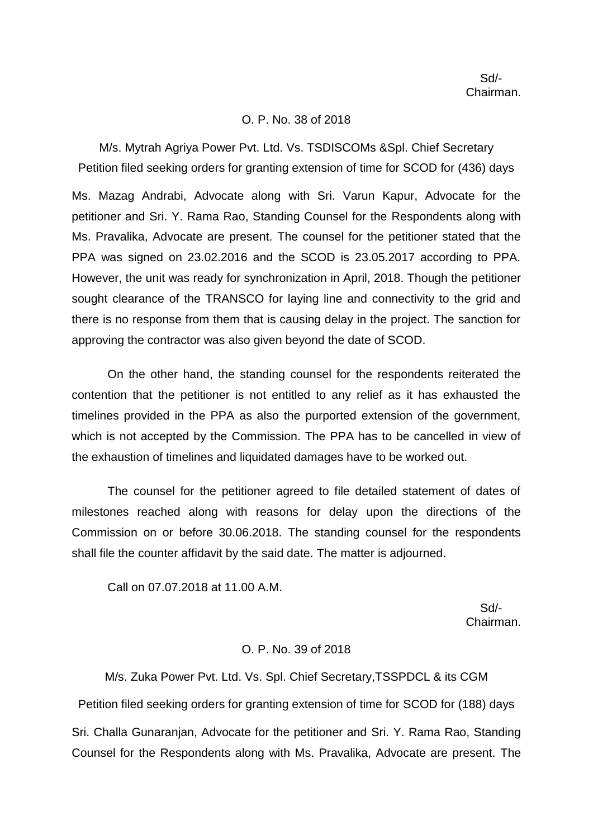### O. P. No. 38 of 2018

M/s. Mytrah Agriya Power Pvt. Ltd. Vs. TSDISCOMs &Spl. Chief Secretary Petition filed seeking orders for granting extension of time for SCOD for (436) days

Ms. Mazag Andrabi, Advocate along with Sri. Varun Kapur, Advocate for the petitioner and Sri. Y. Rama Rao, Standing Counsel for the Respondents along with Ms. Pravalika, Advocate are present. The counsel for the petitioner stated that the PPA was signed on 23.02.2016 and the SCOD is 23.05.2017 according to PPA. However, the unit was ready for synchronization in April, 2018. Though the petitioner sought clearance of the TRANSCO for laying line and connectivity to the grid and there is no response from them that is causing delay in the project. The sanction for approving the contractor was also given beyond the date of SCOD.

On the other hand, the standing counsel for the respondents reiterated the contention that the petitioner is not entitled to any relief as it has exhausted the timelines provided in the PPA as also the purported extension of the government, which is not accepted by the Commission. The PPA has to be cancelled in view of the exhaustion of timelines and liquidated damages have to be worked out.

The counsel for the petitioner agreed to file detailed statement of dates of milestones reached along with reasons for delay upon the directions of the Commission on or before 30.06.2018. The standing counsel for the respondents shall file the counter affidavit by the said date. The matter is adjourned.

Call on 07.07.2018 at 11.00 A.M.

 Sd/- Chairman.

### O. P. No. 39 of 2018

M/s. Zuka Power Pvt. Ltd. Vs. Spl. Chief Secretary,TSSPDCL & its CGM Petition filed seeking orders for granting extension of time for SCOD for (188) days Sri. Challa Gunaranjan, Advocate for the petitioner and Sri. Y. Rama Rao, Standing Counsel for the Respondents along with Ms. Pravalika, Advocate are present. The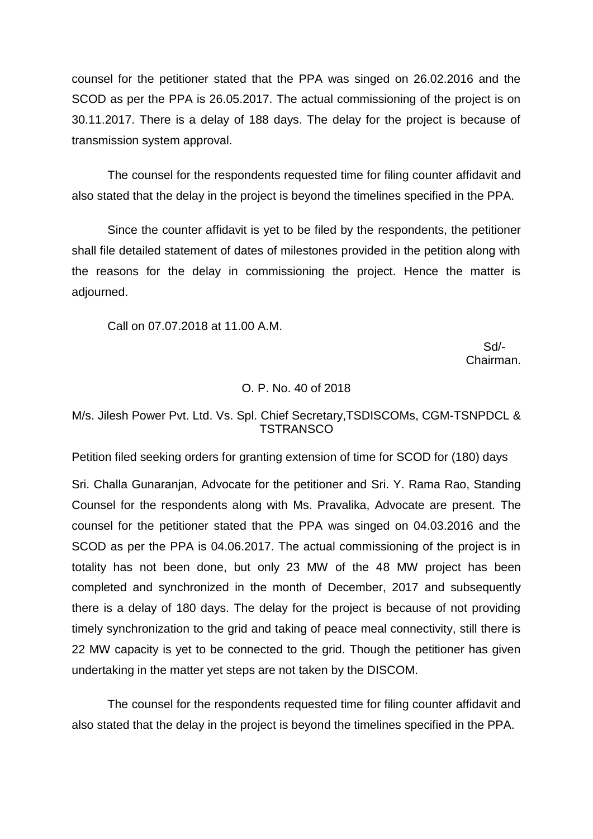counsel for the petitioner stated that the PPA was singed on 26.02.2016 and the SCOD as per the PPA is 26.05.2017. The actual commissioning of the project is on 30.11.2017. There is a delay of 188 days. The delay for the project is because of transmission system approval.

The counsel for the respondents requested time for filing counter affidavit and also stated that the delay in the project is beyond the timelines specified in the PPA.

Since the counter affidavit is yet to be filed by the respondents, the petitioner shall file detailed statement of dates of milestones provided in the petition along with the reasons for the delay in commissioning the project. Hence the matter is adjourned.

Call on 07.07.2018 at 11.00 A.M.

 Sd/- Chairman.

## O. P. No. 40 of 2018

# M/s. Jilesh Power Pvt. Ltd. Vs. Spl. Chief Secretary,TSDISCOMs, CGM-TSNPDCL & **TSTRANSCO**

Petition filed seeking orders for granting extension of time for SCOD for (180) days

Sri. Challa Gunaranjan, Advocate for the petitioner and Sri. Y. Rama Rao, Standing Counsel for the respondents along with Ms. Pravalika, Advocate are present. The counsel for the petitioner stated that the PPA was singed on 04.03.2016 and the SCOD as per the PPA is 04.06.2017. The actual commissioning of the project is in totality has not been done, but only 23 MW of the 48 MW project has been completed and synchronized in the month of December, 2017 and subsequently there is a delay of 180 days. The delay for the project is because of not providing timely synchronization to the grid and taking of peace meal connectivity, still there is 22 MW capacity is yet to be connected to the grid. Though the petitioner has given undertaking in the matter yet steps are not taken by the DISCOM.

The counsel for the respondents requested time for filing counter affidavit and also stated that the delay in the project is beyond the timelines specified in the PPA.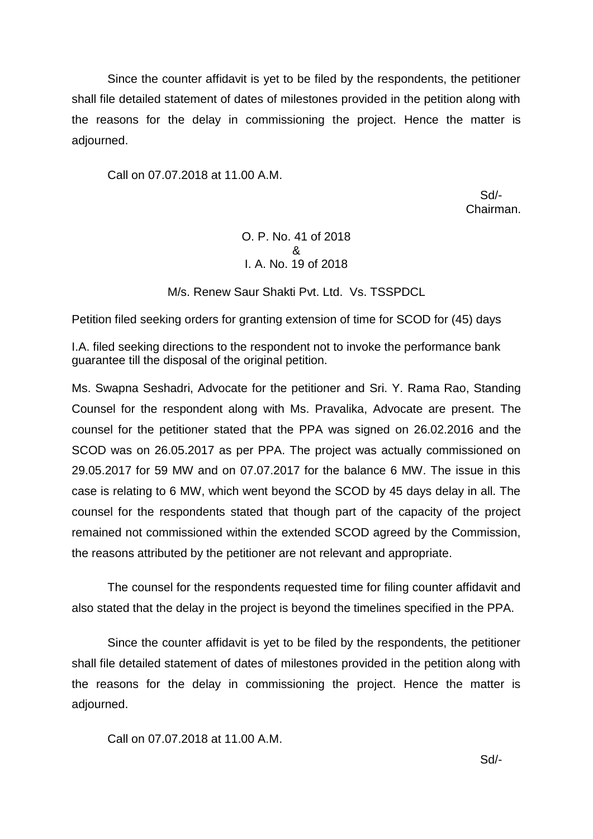Since the counter affidavit is yet to be filed by the respondents, the petitioner shall file detailed statement of dates of milestones provided in the petition along with the reasons for the delay in commissioning the project. Hence the matter is adjourned.

Call on 07.07.2018 at 11.00 A.M.

 Sd/- Chairman.

# O. P. No. 41 of 2018 & I. A. No. 19 of 2018

M/s. Renew Saur Shakti Pvt. Ltd. Vs. TSSPDCL

Petition filed seeking orders for granting extension of time for SCOD for (45) days

I.A. filed seeking directions to the respondent not to invoke the performance bank guarantee till the disposal of the original petition.

Ms. Swapna Seshadri, Advocate for the petitioner and Sri. Y. Rama Rao, Standing Counsel for the respondent along with Ms. Pravalika, Advocate are present. The counsel for the petitioner stated that the PPA was signed on 26.02.2016 and the SCOD was on 26.05.2017 as per PPA. The project was actually commissioned on 29.05.2017 for 59 MW and on 07.07.2017 for the balance 6 MW. The issue in this case is relating to 6 MW, which went beyond the SCOD by 45 days delay in all. The counsel for the respondents stated that though part of the capacity of the project remained not commissioned within the extended SCOD agreed by the Commission, the reasons attributed by the petitioner are not relevant and appropriate.

The counsel for the respondents requested time for filing counter affidavit and also stated that the delay in the project is beyond the timelines specified in the PPA.

Since the counter affidavit is yet to be filed by the respondents, the petitioner shall file detailed statement of dates of milestones provided in the petition along with the reasons for the delay in commissioning the project. Hence the matter is adjourned.

Call on 07.07.2018 at 11.00 A.M.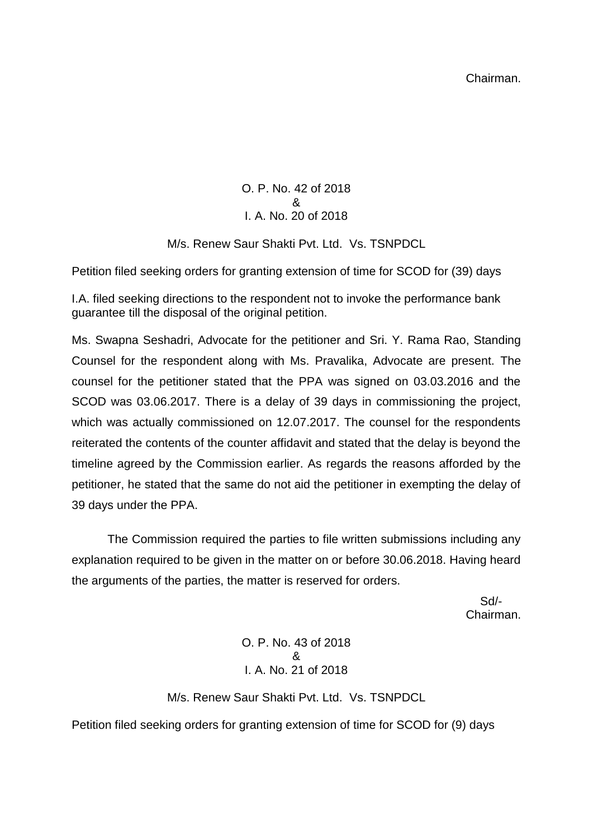O. P. No. 42 of 2018 & I. A. No. 20 of 2018

M/s. Renew Saur Shakti Pvt. Ltd. Vs. TSNPDCL

Petition filed seeking orders for granting extension of time for SCOD for (39) days

I.A. filed seeking directions to the respondent not to invoke the performance bank guarantee till the disposal of the original petition.

Ms. Swapna Seshadri, Advocate for the petitioner and Sri. Y. Rama Rao, Standing Counsel for the respondent along with Ms. Pravalika, Advocate are present. The counsel for the petitioner stated that the PPA was signed on 03.03.2016 and the SCOD was 03.06.2017. There is a delay of 39 days in commissioning the project, which was actually commissioned on 12.07.2017. The counsel for the respondents reiterated the contents of the counter affidavit and stated that the delay is beyond the timeline agreed by the Commission earlier. As regards the reasons afforded by the petitioner, he stated that the same do not aid the petitioner in exempting the delay of 39 days under the PPA.

The Commission required the parties to file written submissions including any explanation required to be given in the matter on or before 30.06.2018. Having heard the arguments of the parties, the matter is reserved for orders.

 Sd/- Chairman.

> O. P. No. 43 of 2018 & I. A. No. 21 of 2018

M/s. Renew Saur Shakti Pvt. Ltd. Vs. TSNPDCL

Petition filed seeking orders for granting extension of time for SCOD for (9) days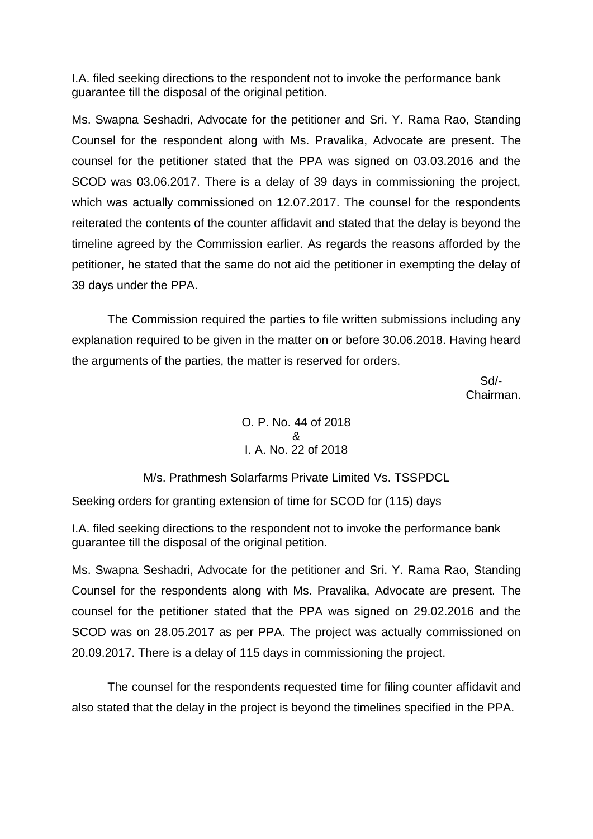I.A. filed seeking directions to the respondent not to invoke the performance bank guarantee till the disposal of the original petition.

Ms. Swapna Seshadri, Advocate for the petitioner and Sri. Y. Rama Rao, Standing Counsel for the respondent along with Ms. Pravalika, Advocate are present. The counsel for the petitioner stated that the PPA was signed on 03.03.2016 and the SCOD was 03.06.2017. There is a delay of 39 days in commissioning the project, which was actually commissioned on 12.07.2017. The counsel for the respondents reiterated the contents of the counter affidavit and stated that the delay is beyond the timeline agreed by the Commission earlier. As regards the reasons afforded by the petitioner, he stated that the same do not aid the petitioner in exempting the delay of 39 days under the PPA.

The Commission required the parties to file written submissions including any explanation required to be given in the matter on or before 30.06.2018. Having heard the arguments of the parties, the matter is reserved for orders.

 Sd/- Chairman.

> O. P. No. 44 of 2018 & I. A. No. 22 of 2018

M/s. Prathmesh Solarfarms Private Limited Vs. TSSPDCL

Seeking orders for granting extension of time for SCOD for (115) days

I.A. filed seeking directions to the respondent not to invoke the performance bank guarantee till the disposal of the original petition.

Ms. Swapna Seshadri, Advocate for the petitioner and Sri. Y. Rama Rao, Standing Counsel for the respondents along with Ms. Pravalika, Advocate are present. The counsel for the petitioner stated that the PPA was signed on 29.02.2016 and the SCOD was on 28.05.2017 as per PPA. The project was actually commissioned on 20.09.2017. There is a delay of 115 days in commissioning the project.

The counsel for the respondents requested time for filing counter affidavit and also stated that the delay in the project is beyond the timelines specified in the PPA.